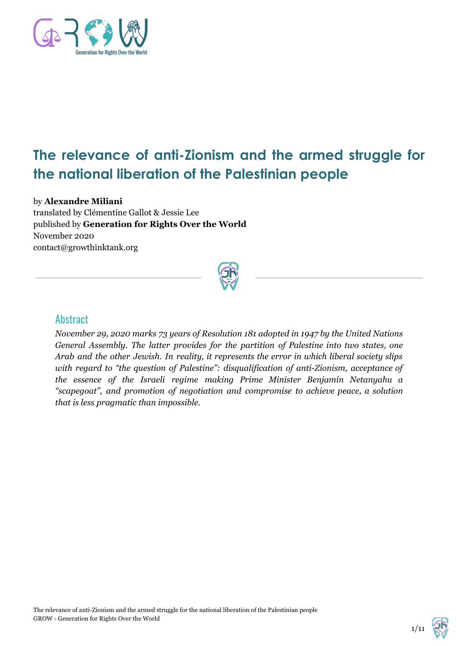

# **The relevance of anti-Zionism and the armed struggle for the national liberation of the Palestinian people**

#### by **Alexandre Miliani**

translated by Clémentine Gallot & Jessie Lee published by **Generation for Rights Over the World** November 2020 contact@growthinktank.org



#### **Abstract**

*November 29, 2020 marks 73 years of Resolution 181 adopted in 1947 by the United Nations General Assembly. The latter provides for the partition of Palestine into two states, one Arab and the other Jewish. In reality, it represents the error in which liberal society slips with regard to "the question of Palestine": disqualification of anti-Zionism, acceptance of the essence of the Israeli regime making Prime Minister Benjamin Netanyahu a "scapegoat", and promotion of negotiation and compromise to achieve peace, a solution that is less pragmatic than impossible.*

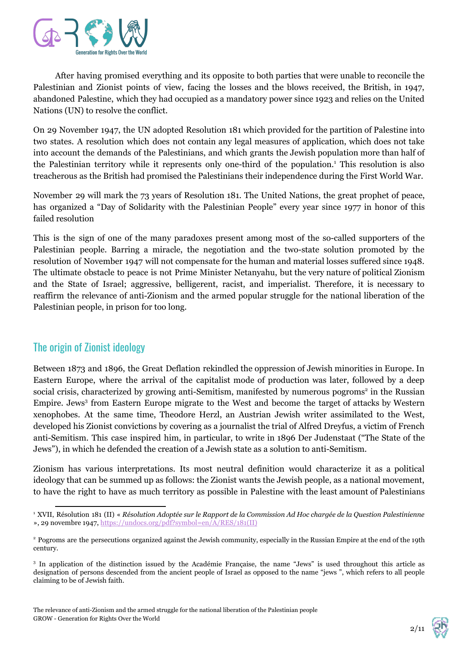

After having promised everything and its opposite to both parties that were unable to reconcile the Palestinian and Zionist points of view, facing the losses and the blows received, the British, in 1947, abandoned Palestine, which they had occupied as a mandatory power since 1923 and relies on the United Nations (UN) to resolve the conflict.

On 29 November 1947, the UN adopted Resolution 181 which provided for the partition of Palestine into two states. A resolution which does not contain any legal measures of application, which does not take into account the demands of the Palestinians, and which grants the Jewish population more than half of the Palestinian territory while it represents only one-third of the population.<sup>1</sup> This resolution is also treacherous as the British had promised the Palestinians their independence during the First World War.

November 29 will mark the 73 years of Resolution 181. The United Nations, the great prophet of peace, has organized a "Day of Solidarity with the Palestinian People" every year since 1977 in honor of this failed resolution

This is the sign of one of the many paradoxes present among most of the so-called supporters of the Palestinian people. Barring a miracle, the negotiation and the two-state solution promoted by the resolution of November 1947 will not compensate for the human and material losses suffered since 1948. The ultimate obstacle to peace is not Prime Minister Netanyahu, but the very nature of political Zionism and the State of Israel; aggressive, belligerent, racist, and imperialist. Therefore, it is necessary to reaffirm the relevance of anti-Zionism and the armed popular struggle for the national liberation of the Palestinian people, in prison for too long.

### The origin of Zionist ideology

Between 1873 and 1896, the Great Deflation rekindled the oppression of Jewish minorities in Europe. In Eastern Europe, where the arrival of the capitalist mode of production was later, followed by a deep social crisis, characterized by growing anti-Semitism, manifested by numerous pogroms<sup>2</sup> in the Russian Empire. Jews<sup>3</sup> from Eastern Europe migrate to the West and become the target of attacks by Western xenophobes. At the same time, Theodore Herzl, an Austrian Jewish writer assimilated to the West, developed his Zionist convictions by covering as a journalist the trial of Alfred Dreyfus, a victim of French anti-Semitism. This case inspired him, in particular, to write in 1896 Der Judenstaat ("The State of the Jews"), in which he defended the creation of a Jewish state as a solution to anti-Semitism.

Zionism has various interpretations. Its most neutral definition would characterize it as a political ideology that can be summed up as follows: the Zionist wants the Jewish people, as a national movement, to have the right to have as much territory as possible in Palestine with the least amount of Palestinians

2/11

<sup>&</sup>lt;sup>1</sup> XVII, Résolution 181 (II) « Résolution Adoptée sur le Rapport de la Commission Ad Hoc chargée de la Question Palestinienne », 29 novembre 1947, [https://undocs.org/pdf?symbol=en/A/RES/181\(II\)](https://undocs.org/pdf?symbol=en/A/RES/181(II))

<sup>&</sup>lt;sup>2</sup> Pogroms are the persecutions organized against the Jewish community, especially in the Russian Empire at the end of the 19th century.

<sup>3</sup> In application of the distinction issued by the Académie Française, the name "Jews" is used throughout this article as designation of persons descended from the ancient people of Israel as opposed to the name "jews ", which refers to all people claiming to be of Jewish faith.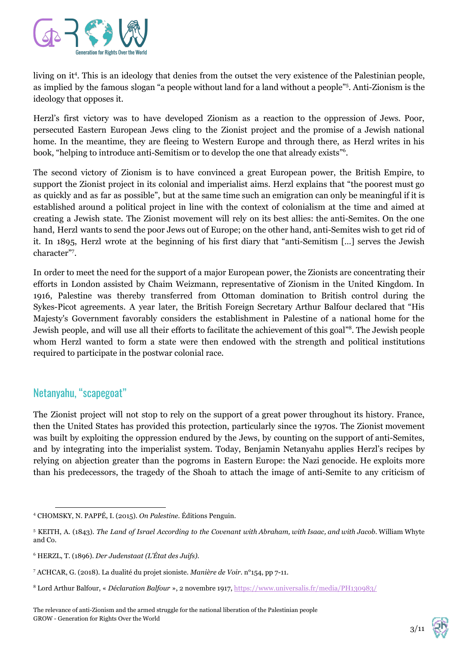

living on it<sup>4</sup>. This is an ideology that denies from the outset the very existence of the Palestinian people, as implied by the famous slogan "a people without land for a land without a people"<sup>5</sup>. Anti-Zionism is the ideology that opposes it.

Herzl's first victory was to have developed Zionism as a reaction to the oppression of Jews. Poor, persecuted Eastern European Jews cling to the Zionist project and the promise of a Jewish national home. In the meantime, they are fleeing to Western Europe and through there, as Herzl writes in his book, "helping to introduce anti-Semitism or to develop the one that already exists"<sup>6</sup>.

The second victory of Zionism is to have convinced a great European power, the British Empire, to support the Zionist project in its colonial and imperialist aims. Herzl explains that "the poorest must go as quickly and as far as possible", but at the same time such an emigration can only be meaningful if it is established around a political project in line with the context of colonialism at the time and aimed at creating a Jewish state. The Zionist movement will rely on its best allies: the anti-Semites. On the one hand, Herzl wants to send the poor Jews out of Europe; on the other hand, anti-Semites wish to get rid of it. In 1895, Herzl wrote at the beginning of his first diary that "anti-Semitism […] serves the Jewish character"<sup>7</sup>.

In order to meet the need for the support of a major European power, the Zionists are concentrating their efforts in London assisted by Chaim Weizmann, representative of Zionism in the United Kingdom. In 1916, Palestine was thereby transferred from Ottoman domination to British control during the Sykes-Picot agreements. A year later, the British Foreign Secretary Arthur Balfour declared that "His Majesty's Government favorably considers the establishment in Palestine of a national home for the Jewish people, and will use all their efforts to facilitate the achievement of this goal"<sup>8</sup>. The Jewish people whom Herzl wanted to form a state were then endowed with the strength and political institutions required to participate in the postwar colonial race.

# Netanyahu, "scapegoat"

The Zionist project will not stop to rely on the support of a great power throughout its history. France, then the United States has provided this protection, particularly since the 1970s. The Zionist movement was built by exploiting the oppression endured by the Jews, by counting on the support of anti-Semites, and by integrating into the imperialist system. Today, Benjamin Netanyahu applies Herzl's recipes by relying on abjection greater than the pogroms in Eastern Europe: the Nazi genocide. He exploits more than his predecessors, the tragedy of the Shoah to attach the image of anti-Semite to any criticism of

3/11

<sup>4</sup> CHOMSKY, N. PAPPÉ, I. (2015). *On Palestine*. Éditions Penguin.

<sup>&</sup>lt;sup>5</sup> KEITH, A. (1843). The Land of Israel According to the Covenant with Abraham, with Isaac, and with Jacob. William Whyte and Co.

<sup>6</sup> HERZL, T. (1896). *Der Judenstaat (L'État des Juifs).*

<sup>7</sup> ACHCAR, G. (2018). La dualité du projet sioniste. *Manière de Voir*. n°154, pp 7-11.

<sup>8</sup> Lord Arthur Balfour, « *Déclaration Balfour* », 2 novembre 1917, <https://www.universalis.fr/media/PH130983/>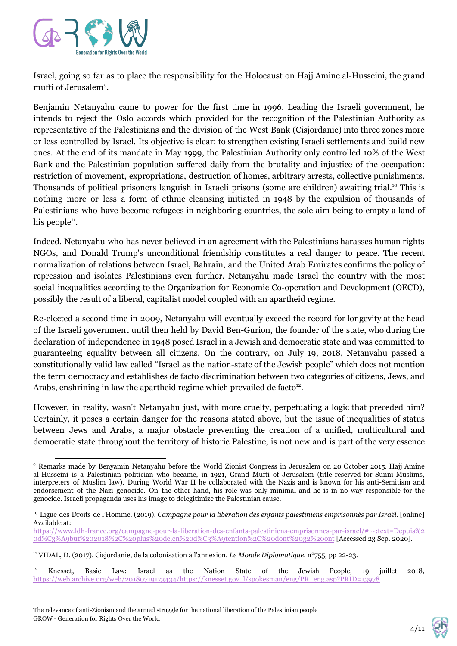

Israel, going so far as to place the responsibility for the Holocaust on Hajj Amine al-Husseini, the grand mufti of Jerusalem<sup>9</sup>.

Benjamin Netanyahu came to power for the first time in 1996. Leading the Israeli government, he intends to reject the Oslo accords which provided for the recognition of the Palestinian Authority as representative of the Palestinians and the division of the West Bank (Cisjordanie) into three zones more or less controlled by Israel. Its objective is clear: to strengthen existing Israeli settlements and build new ones. At the end of its mandate in May 1999, the Palestinian Authority only controlled 10% of the West Bank and the Palestinian population suffered daily from the brutality and injustice of the occupation: restriction of movement, expropriations, destruction of homes, arbitrary arrests, collective punishments. Thousands of political prisoners languish in Israeli prisons (some are children) awaiting trial.<sup>10</sup> This is nothing more or less a form of ethnic cleansing initiated in 1948 by the expulsion of thousands of Palestinians who have become refugees in neighboring countries, the sole aim being to empty a land of his people $^{11}$ .

Indeed, Netanyahu who has never believed in an agreement with the Palestinians harasses human rights NGOs, and Donald Trump's unconditional friendship constitutes a real danger to peace. The recent normalization of relations between Israel, Bahrain, and the United Arab Emirates confirms the policy of repression and isolates Palestinians even further. Netanyahu made Israel the country with the most social inequalities according to the Organization for Economic Co-operation and Development (OECD), possibly the result of a liberal, capitalist model coupled with an apartheid regime.

Re-elected a second time in 2009, Netanyahu will eventually exceed the record for longevity at the head of the Israeli government until then held by David Ben-Gurion, the founder of the state, who during the declaration of independence in 1948 posed Israel in a Jewish and democratic state and was committed to guaranteeing equality between all citizens. On the contrary, on July 19, 2018, Netanyahu passed a constitutionally valid law called "Israel as the nation-state of the Jewish people" which does not mention the term democracy and establishes de facto discrimination between two categories of citizens, Jews, and Arabs, enshrining in law the apartheid regime which prevailed de facto<sup>12</sup>.

However, in reality, wasn't Netanyahu just, with more cruelty, perpetuating a logic that preceded him? Certainly, it poses a certain danger for the reasons stated above, but the issue of inequalities of status between Jews and Arabs, a major obstacle preventing the creation of a unified, multicultural and democratic state throughout the territory of historic Palestine, is not new and is part of the very essence

4/11

<sup>9</sup> Remarks made by Benyamin Netanyahu before the World Zionist Congress in Jerusalem on 20 October 2015. Hajj Amine al-Husseini is a Palestinian politician who became, in 1921, Grand Mufti of Jerusalem (title reserved for Sunni Muslims, interpreters of Muslim law). During World War II he collaborated with the Nazis and is known for his anti-Semitism and endorsement of the Nazi genocide. On the other hand, his role was only minimal and he is in no way responsible for the genocide. Israeli propaganda uses his image to delegitimize the Palestinian cause.

<sup>10</sup> Ligue des Droits de l'Homme. (2019). *Campagne pour la libération des enfants palestiniens emprisonnés par Israël.* [online] Available at:

[https://www.ldh-france.org/campagne-pour-la-liberation-des-enfants-palestiniens-emprisonnes-par-israel/#:~:text=Depuis%2](https://www.ldh-france.org/campagne-pour-la-liberation-des-enfants-palestiniens-emprisonnes-par-israel/#:~:text=Depuis%20d%C3%A9but%202018%2C%20plus%20de,en%20d%C3%A9tention%2C%20dont%2032%20ont) [0d%C3%A9but%202018%2C%20plus%20de,en%20d%C3%A9tention%2C%20dont%2032%20ont](https://www.ldh-france.org/campagne-pour-la-liberation-des-enfants-palestiniens-emprisonnes-par-israel/#:~:text=Depuis%20d%C3%A9but%202018%2C%20plus%20de,en%20d%C3%A9tention%2C%20dont%2032%20ont) [Accessed 23 Sep. 2020].

<sup>11</sup> VIDAL, D. (2017). Cisjordanie, de la colonisation à l'annexion. *Le Monde Diplomatique*. n°755, pp 22-23.

<sup>&</sup>lt;sup>12</sup> Knesset, Basic Law: Israel as the Nation State of the Jewish People, 19 juillet 2018, [https://web.archive.org/web/20180719173434/https://knesset.gov.il/spokesman/eng/PR\\_eng.asp?PRID=13978](https://web.archive.org/web/20180719173434/https://knesset.gov.il/spokesman/eng/PR_eng.asp?PRID=13978)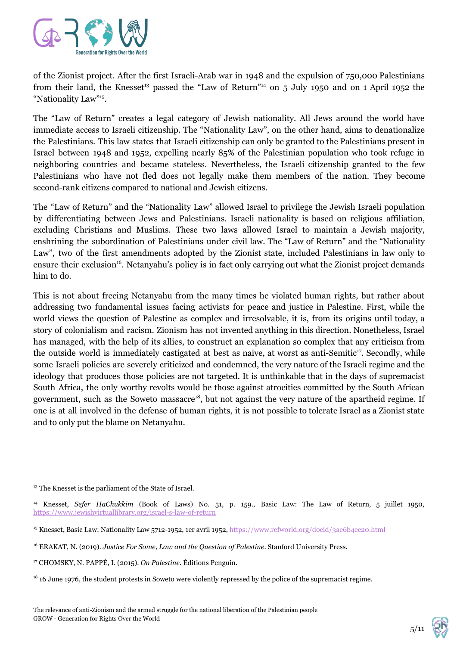

of the Zionist project. After the first Israeli-Arab war in 1948 and the expulsion of 750,000 Palestinians from their land, the Knesset<sup>13</sup> passed the "Law of Return"<sup>14</sup> on 5 July 1950 and on 1 April 1952 the "Nationality Law"<sup>15</sup>.

The "Law of Return" creates a legal category of Jewish nationality. All Jews around the world have immediate access to Israeli citizenship. The "Nationality Law", on the other hand, aims to denationalize the Palestinians. This law states that Israeli citizenship can only be granted to the Palestinians present in Israel between 1948 and 1952, expelling nearly 85% of the Palestinian population who took refuge in neighboring countries and became stateless. Nevertheless, the Israeli citizenship granted to the few Palestinians who have not fled does not legally make them members of the nation. They become second-rank citizens compared to national and Jewish citizens.

The "Law of Return" and the "Nationality Law" allowed Israel to privilege the Jewish Israeli population by differentiating between Jews and Palestinians. Israeli nationality is based on religious affiliation, excluding Christians and Muslims. These two laws allowed Israel to maintain a Jewish majority, enshrining the subordination of Palestinians under civil law. The "Law of Return" and the "Nationality Law", two of the first amendments adopted by the Zionist state, included Palestinians in law only to ensure their exclusion<sup>16</sup>. Netanyahu's policy is in fact only carrying out what the Zionist project demands him to do.

This is not about freeing Netanyahu from the many times he violated human rights, but rather about addressing two fundamental issues facing activists for peace and justice in Palestine. First, while the world views the question of Palestine as complex and irresolvable, it is, from its origins until today, a story of colonialism and racism. Zionism has not invented anything in this direction. Nonetheless, Israel has managed, with the help of its allies, to construct an explanation so complex that any criticism from the outside world is immediately castigated at best as naive, at worst as anti-Semitic<sup>17</sup>. Secondly, while some Israeli policies are severely criticized and condemned, the very nature of the Israeli regime and the ideology that produces those policies are not targeted. It is unthinkable that in the days of supremacist South Africa, the only worthy revolts would be those against atrocities committed by the South African government, such as the Soweto massacre<sup>18</sup>, but not against the very nature of the apartheid regime. If one is at all involved in the defense of human rights, it is not possible to tolerate Israel as a Zionist state and to only put the blame on Netanyahu.

<sup>&</sup>lt;sup>13</sup> The Knesset is the parliament of the State of Israel.

<sup>14</sup> Knesset, *Sefer HaChukkim* (Book of Laws) No. 51, p. 159., Basic Law: The Law of Return, 5 juillet 1950, <https://www.jewishvirtuallibrary.org/israel-s-law-of-return>

<sup>&</sup>lt;sup>15</sup> Knesset, Basic Law: Nationality Law 5712-1952, 1er avril 1952, <https://www.refworld.org/docid/3ae6b4ec20.html>

<sup>16</sup> ERAKAT, N. (2019). *Justice For Some, Law and the Question of Palestine*. Stanford University Press.

<sup>17</sup> CHOMSKY, N. PAPPÉ, I. (2015). *On Palestine*. Éditions Penguin.

<sup>&</sup>lt;sup>18</sup> 16 June 1976, the student protests in Soweto were violently repressed by the police of the supremacist regime.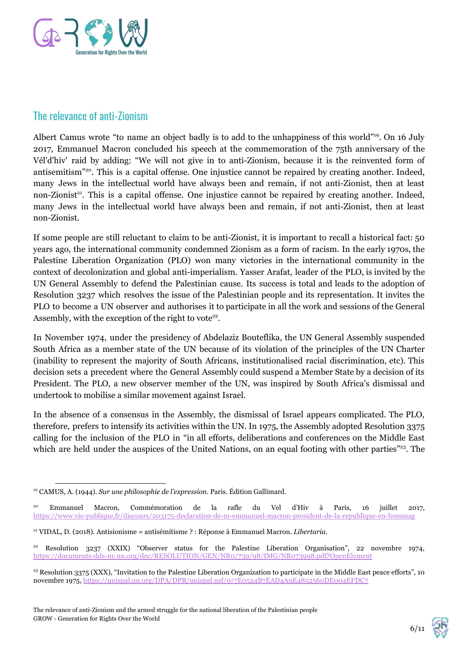

## The relevance of anti-Zionism

Albert Camus wrote "to name an object badly is to add to the unhappiness of this world"<sup>19</sup>. On 16 July 2017, Emmanuel Macron concluded his speech at the commemoration of the 75th anniversary of the Vél'd'hiv' raid by adding: "We will not give in to anti-Zionism, because it is the reinvented form of antisemitism"<sup>20</sup>. This is a capital offense. One injustice cannot be repaired by creating another. Indeed, many Jews in the intellectual world have always been and remain, if not anti-Zionist, then at least non-Zionist<sup>21</sup>. This is a capital offense. One injustice cannot be repaired by creating another. Indeed, many Jews in the intellectual world have always been and remain, if not anti-Zionist, then at least non-Zionist.

If some people are still reluctant to claim to be anti-Zionist, it is important to recall a historical fact: 50 years ago, the international community condemned Zionism as a form of racism. In the early 1970s, the Palestine Liberation Organization (PLO) won many victories in the international community in the context of decolonization and global anti-imperialism. Yasser Arafat, leader of the PLO, is invited by the UN General Assembly to defend the Palestinian cause. Its success is total and leads to the adoption of Resolution 3237 which resolves the issue of the Palestinian people and its representation. It invites the PLO to become a UN observer and authorises it to participate in all the work and sessions of the General Assembly, with the exception of the right to vote<sup>22</sup>.

In November 1974, under the presidency of Abdelaziz Bouteflika, the UN General Assembly suspended South Africa as a member state of the UN because of its violation of the principles of the UN Charter (inability to represent the majority of South Africans, institutionalised racial discrimination, etc). This decision sets a precedent where the General Assembly could suspend a Member State by a decision of its President. The PLO, a new observer member of the UN, was inspired by South Africa's dismissal and undertook to mobilise a similar movement against Israel.

In the absence of a consensus in the Assembly, the dismissal of Israel appears complicated. The PLO, therefore, prefers to intensify its activities within the UN. In 1975, the Assembly adopted Resolution 3375 calling for the inclusion of the PLO in "in all efforts, deliberations and conferences on the Middle East which are held under the auspices of the United Nations, on an equal footing with other parties<sup>"23</sup>. The

6/11

<sup>19</sup> CAMUS, A. (1944). *Sur une philosophie de l'expression*. Paris. Édition Gallimard.

<sup>20</sup> Emmanuel Macron, Commémoration de la rafle du Vel d'Hiv à Paris, 16 juillet 2017[,](https://www.vie-publique.fr/discours/203175-declaration-de-m-emmanuel-macron-president-de-la-republique-en-hommag) <https://www.vie-publique.fr/discours/203175-declaration-de-m-emmanuel-macron-president-de-la-republique-en-hommag>

<sup>21</sup> VIDAL, D. (2018). Antisionisme = antisémitisme ? : Réponse à Emmanuel Macron. *Libertaria*.

<sup>22</sup> Resolution 3237 (XXIX) "Observer status for the Palestine Liberation Organisation", 22 novembre 1974, <https://documents-dds-ny.un.org/doc/RESOLUTION/GEN/NR0/739/98/IMG/NR073998.pdf?OpenElement>

 $^{23}$  Resolution 3375 (XXX), "Invitation to the Palestine Liberation Organization to participate in the Middle East peace efforts", 10 novembre 1975, <https://unispal.un.org/DPA/DPR/unispal.nsf/0/7E0524B7EAD4A9E4852560DE004EFDC7>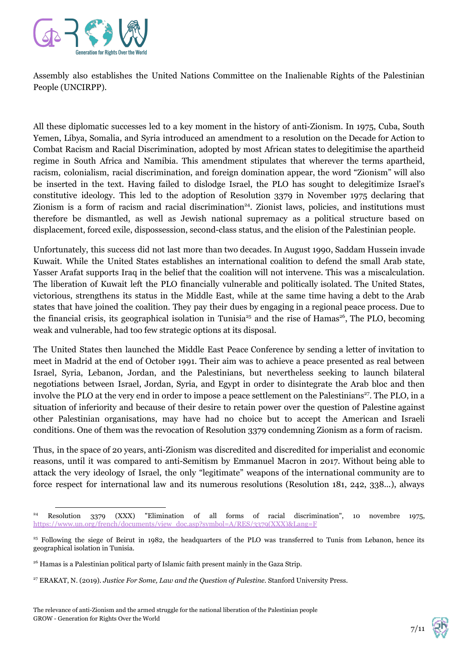

Assembly also establishes the United Nations Committee on the Inalienable Rights of the Palestinian People (UNCIRPP).

All these diplomatic successes led to a key moment in the history of anti-Zionism. In 1975, Cuba, South Yemen, Libya, Somalia, and Syria introduced an amendment to a resolution on the Decade for Action to Combat Racism and Racial Discrimination, adopted by most African states to delegitimise the apartheid regime in South Africa and Namibia. This amendment stipulates that wherever the terms apartheid, racism, colonialism, racial discrimination, and foreign domination appear, the word "Zionism" will also be inserted in the text. Having failed to dislodge Israel, the PLO has sought to delegitimize Israel's constitutive ideology. This led to the adoption of Resolution 3379 in November 1975 declaring that Zionism is a form of racism and racial discrimination<sup>24</sup>. Zionist laws, policies, and institutions must therefore be dismantled, as well as Jewish national supremacy as a political structure based on displacement, forced exile, dispossession, second-class status, and the elision of the Palestinian people.

Unfortunately, this success did not last more than two decades. In August 1990, Saddam Hussein invade Kuwait. While the United States establishes an international coalition to defend the small Arab state, Yasser Arafat supports Iraq in the belief that the coalition will not intervene. This was a miscalculation. The liberation of Kuwait left the PLO financially vulnerable and politically isolated. The United States, victorious, strengthens its status in the Middle East, while at the same time having a debt to the Arab states that have joined the coalition. They pay their dues by engaging in a regional peace process. Due to the financial crisis, its geographical isolation in Tunisia<sup>25</sup> and the rise of Hamas<sup>26</sup>, The PLO, becoming weak and vulnerable, had too few strategic options at its disposal.

The United States then launched the Middle East Peace Conference by sending a letter of invitation to meet in Madrid at the end of October 1991. Their aim was to achieve a peace presented as real between Israel, Syria, Lebanon, Jordan, and the Palestinians, but nevertheless seeking to launch bilateral negotiations between Israel, Jordan, Syria, and Egypt in order to disintegrate the Arab bloc and then involve the PLO at the very end in order to impose a peace settlement on the Palestinians<sup>27</sup>. The PLO, in a situation of inferiority and because of their desire to retain power over the question of Palestine against other Palestinian organisations, may have had no choice but to accept the American and Israeli conditions. One of them was the revocation of Resolution 3379 condemning Zionism as a form of racism.

Thus, in the space of 20 years, anti-Zionism was discredited and discredited for imperialist and economic reasons, until it was compared to anti-Semitism by Emmanuel Macron in 2017. Without being able to attack the very ideology of Israel, the only "legitimate" weapons of the international community are to force respect for international law and its numerous resolutions (Resolution 181, 242, 338...), always

7/11

<sup>24</sup> Resolution 3379 (XXX) "Elimination of all forms of racial discrimination", 10 novembre 1975[,](https://www.un.org/french/documents/view_doc.asp?symbol=A/RES/3379(XXX)&Lang=F) [https://www.un.org/french/documents/view\\_doc.asp?symbol=A/RES/3379\(XXX\)&Lang=F](https://www.un.org/french/documents/view_doc.asp?symbol=A/RES/3379(XXX)&Lang=F)

<sup>&</sup>lt;sup>25</sup> Following the siege of Beirut in 1982, the headquarters of the PLO was transferred to Tunis from Lebanon, hence its geographical isolation in Tunisia.

<sup>&</sup>lt;sup>26</sup> Hamas is a Palestinian political party of Islamic faith present mainly in the Gaza Strip.

<sup>27</sup> ERAKAT, N. (2019). *Justice For Some, Law and the Question of Palestine*. Stanford University Press.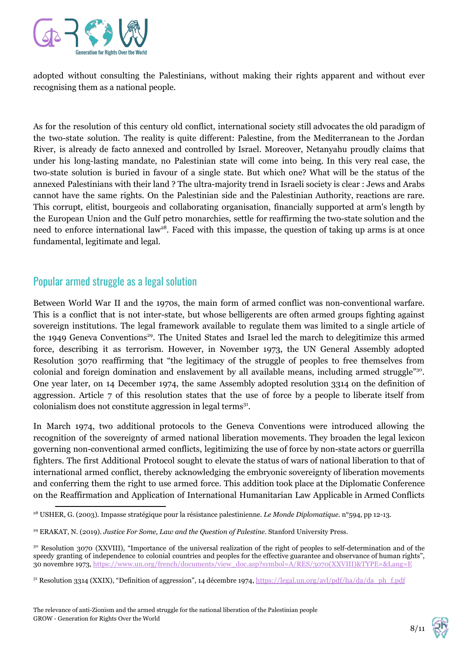

adopted without consulting the Palestinians, without making their rights apparent and without ever recognising them as a national people.

As for the resolution of this century old conflict, international society still advocates the old paradigm of the two-state solution. The reality is quite different: Palestine, from the Mediterranean to the Jordan River, is already de facto annexed and controlled by Israel. Moreover, Netanyahu proudly claims that under his long-lasting mandate, no Palestinian state will come into being. In this very real case, the two-state solution is buried in favour of a single state. But which one? What will be the status of the annexed Palestinians with their land ? The ultra-majority trend in Israeli society is clear : Jews and Arabs cannot have the same rights. On the Palestinian side and the Palestinian Authority, reactions are rare. This corrupt, elitist, bourgeois and collaborating organisation, financially supported at arm's length by the European Union and the Gulf petro monarchies, settle for reaffirming the two-state solution and the need to enforce international law<sup>28</sup>. Faced with this impasse, the question of taking up arms is at once fundamental, legitimate and legal.

#### Popular armed struggle as a legal solution

Between World War II and the 1970s, the main form of armed conflict was non-conventional warfare. This is a conflict that is not inter-state, but whose belligerents are often armed groups fighting against sovereign institutions. The legal framework available to regulate them was limited to a single article of the 1949 Geneva Conventions<sup>29</sup>. The United States and Israel led the march to delegitimize this armed force, describing it as terrorism. However, in November 1973, the UN General Assembly adopted Resolution 3070 reaffirming that "the legitimacy of the struggle of peoples to free themselves from colonial and foreign domination and enslavement by all available means, including armed struggle"<sup>30</sup>. One year later, on 14 December 1974, the same Assembly adopted resolution 3314 on the definition of aggression. Article 7 of this resolution states that the use of force by a people to liberate itself from colonialism does not constitute aggression in legal terms<sup>31</sup>.

In March 1974, two additional protocols to the Geneva Conventions were introduced allowing the recognition of the sovereignty of armed national liberation movements. They broaden the legal lexicon governing non-conventional armed conflicts, legitimizing the use of force by non-state actors or guerrilla fighters. The first Additional Protocol sought to elevate the status of wars of national liberation to that of international armed conflict, thereby acknowledging the embryonic sovereignty of liberation movements and conferring them the right to use armed force. This addition took place at the Diplomatic Conference on the Reaffirmation and Application of International Humanitarian Law Applicable in Armed Conflicts

8/11

<sup>28</sup> USHER, G. (2003). Impasse stratégique pour la résistance palestinienne. *Le Monde Diplomatique*. n°594, pp 12-13.

<sup>29</sup> ERAKAT, N. (2019). *Justice For Some, Law and the Question of Palestine*. Stanford University Press.

<sup>30</sup> Resolution 3070 (XXVIII), "Importance of the universal realization of the right of peoples to self-determination and of the speedy granting of independence to colonial countries and peoples for the effective guarantee and observance of human rights", 30 novembre 1973, [https://www.un.org/french/documents/view\\_doc.asp?symbol=A/RES/3070\(XXVIII\)&TYPE=&Lang=E](https://www.un.org/french/documents/view_doc.asp?symbol=A/RES/3070(XXVIII)&TYPE=&Lang=E)

<sup>&</sup>lt;sup>31</sup> Resolution 3314 (XXIX), "Definition of aggression", 14 décembre 1974, [https://legal.un.org/avl/pdf/ha/da/da\\_ph\\_f.pdf](https://legal.un.org/avl/pdf/ha/da/da_ph_f.pdf)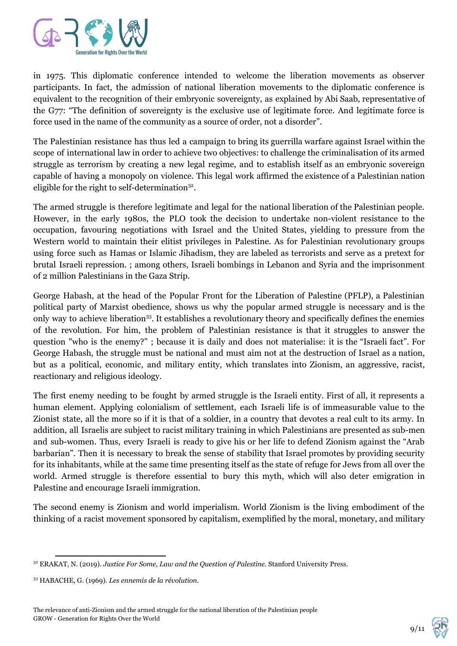

in 1975. This diplomatic conference intended to welcome the liberation movements as observer participants. In fact, the admission of national liberation movements to the diplomatic conference is equivalent to the recognition of their embryonic sovereignty, as explained by Abi Saab, representative of the G77: "The definition of sovereignty is the exclusive use of legitimate force. And legitimate force is force used in the name of the community as a source of order, not a disorder".

The Palestinian resistance has thus led a campaign to bring its guerrilla warfare against Israel within the scope of international law in order to achieve two objectives: to challenge the criminalisation of its armed struggle as terrorism by creating a new legal regime, and to establish itself as an embryonic sovereign capable of having a monopoly on violence. This legal work affirmed the existence of a Palestinian nation eligible for the right to self-determination $32$ .

The armed struggle is therefore legitimate and legal for the national liberation of the Palestinian people. However, in the early 1980s, the PLO took the decision to undertake non-violent resistance to the occupation, favouring negotiations with Israel and the United States, yielding to pressure from the Western world to maintain their elitist privileges in Palestine. As for Palestinian revolutionary groups using force such as Hamas or Islamic Jihadism, they are labeled as terrorists and serve as a pretext for brutal Israeli repression. ; among others, Israeli bombings in Lebanon and Syria and the imprisonment of 2 million Palestinians in the Gaza Strip.

George Habash, at the head of the Popular Front for the Liberation of Palestine (PFLP), a Palestinian political party of Marxist obedience, shows us why the popular armed struggle is necessary and is the only way to achieve liberation<sup>33</sup>. It establishes a revolutionary theory and specifically defines the enemies of the revolution. For him, the problem of Palestinian resistance is that it struggles to answer the question "who is the enemy?" ; because it is daily and does not materialise: it is the "Israeli fact". For George Habash, the struggle must be national and must aim not at the destruction of Israel as a nation, but as a political, economic, and military entity, which translates into Zionism, an aggressive, racist, reactionary and religious ideology.

The first enemy needing to be fought by armed struggle is the Israeli entity. First of all, it represents a human element. Applying colonialism of settlement, each Israeli life is of immeasurable value to the Zionist state, all the more so if it is that of a soldier, in a country that devotes a real cult to its army. In addition, all Israelis are subject to racist military training in which Palestinians are presented as sub-men and sub-women. Thus, every Israeli is ready to give his or her life to defend Zionism against the "Arab barbarian". Then it is necessary to break the sense of stability that Israel promotes by providing security for its inhabitants, while at the same time presenting itself as the state of refuge for Jews from all over the world. Armed struggle is therefore essential to bury this myth, which will also deter emigration in Palestine and encourage Israeli immigration.

The second enemy is Zionism and world imperialism. World Zionism is the living embodiment of the thinking of a racist movement sponsored by capitalism, exemplified by the moral, monetary, and military



<sup>32</sup> ERAKAT, N. (2019). *Justice For Some, Law and the Question of Palestine*. Stanford University Press.

<sup>33</sup> HABACHE, G. (1969). *Les ennemis de la révolution*.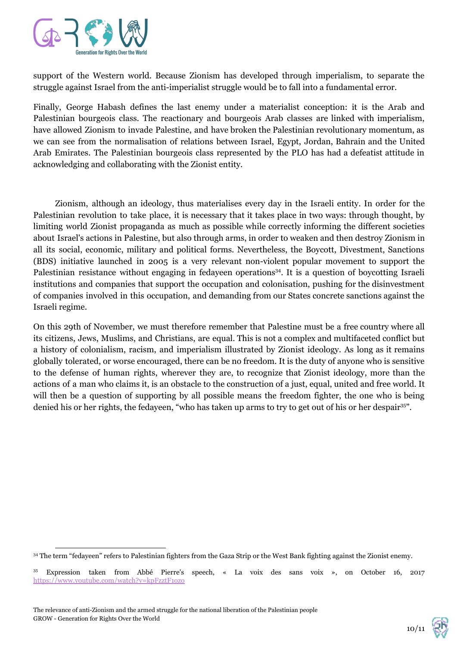

support of the Western world. Because Zionism has developed through imperialism, to separate the struggle against Israel from the anti-imperialist struggle would be to fall into a fundamental error.

Finally, George Habash defines the last enemy under a materialist conception: it is the Arab and Palestinian bourgeois class. The reactionary and bourgeois Arab classes are linked with imperialism, have allowed Zionism to invade Palestine, and have broken the Palestinian revolutionary momentum, as we can see from the normalisation of relations between Israel, Egypt, Jordan, Bahrain and the United Arab Emirates. The Palestinian bourgeois class represented by the PLO has had a defeatist attitude in acknowledging and collaborating with the Zionist entity.

Zionism, although an ideology, thus materialises every day in the Israeli entity. In order for the Palestinian revolution to take place, it is necessary that it takes place in two ways: through thought, by limiting world Zionist propaganda as much as possible while correctly informing the different societies about Israel's actions in Palestine, but also through arms, in order to weaken and then destroy Zionism in all its social, economic, military and political forms. Nevertheless, the Boycott, Divestment, Sanctions (BDS) initiative launched in 2005 is a very relevant non-violent popular movement to support the Palestinian resistance without engaging in fedayeen operations<sup>34</sup>. It is a question of boycotting Israeli institutions and companies that support the occupation and colonisation, pushing for the disinvestment of companies involved in this occupation, and demanding from our States concrete sanctions against the Israeli regime.

On this 29th of November, we must therefore remember that Palestine must be a free country where all its citizens, Jews, Muslims, and Christians, are equal. This is not a complex and multifaceted conflict but a history of colonialism, racism, and imperialism illustrated by Zionist ideology. As long as it remains globally tolerated, or worse encouraged, there can be no freedom. It is the duty of anyone who is sensitive to the defense of human rights, wherever they are, to recognize that Zionist ideology, more than the actions of a man who claims it, is an obstacle to the construction of a just, equal, united and free world. It will then be a question of supporting by all possible means the freedom fighter, the one who is being denied his or her rights, the fedayeen, "who has taken up arms to try to get out of his or her despair<sup>35</sup>".



<sup>34</sup> The term "fedayeen" refers to Palestinian fighters from the Gaza Strip or the West Bank fighting against the Zionist enemy.

<sup>35</sup> Expression taken from Abbé Pierre's speech, « La voix des sans voix », on October 16, 2017 <https://www.youtube.com/watch?v=kpFzztF1ozo>